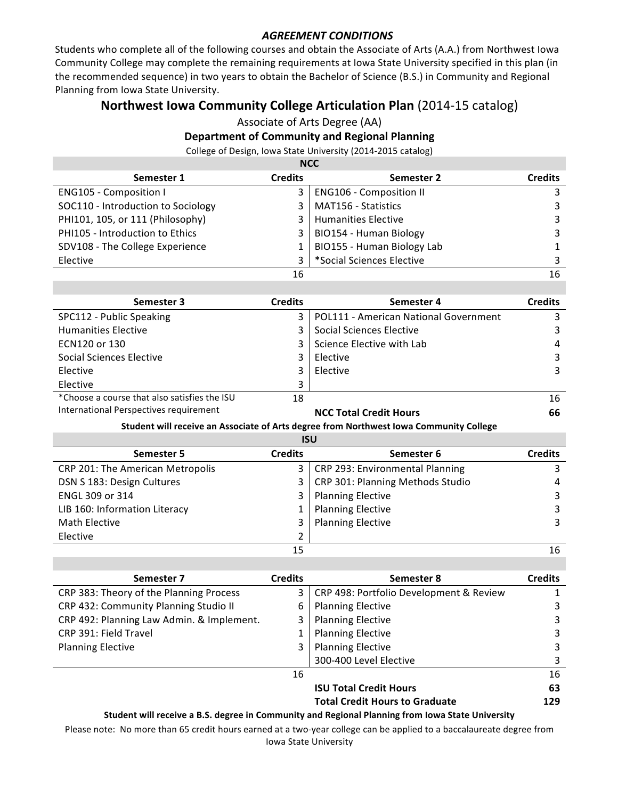## *AGREEMENT CONDITIONS*

Students who complete all of the following courses and obtain the Associate of Arts (A.A.) from Northwest Iowa Community College may complete the remaining requirements at lowa State University specified in this plan (in the recommended sequence) in two years to obtain the Bachelor of Science (B.S.) in Community and Regional Planning from Iowa State University.

## **Northwest Iowa Community College Articulation Plan** (2014-15 catalog)

Associate of Arts Degree (AA)

## **Department of Community and Regional Planning**

College of Design, Iowa State University (2014-2015 catalog)

| <b>NCC</b>                         |                |                                |                |  |  |
|------------------------------------|----------------|--------------------------------|----------------|--|--|
| Semester 1                         | <b>Credits</b> | Semester 2                     | <b>Credits</b> |  |  |
| ENG105 - Composition I             | 3              | <b>ENG106 - Composition II</b> | 3              |  |  |
| SOC110 - Introduction to Sociology | 3              | MAT156 - Statistics            | 3              |  |  |
| PHI101, 105, or 111 (Philosophy)   | 3              | <b>Humanities Elective</b>     | 3              |  |  |
| PHI105 - Introduction to Ethics    | 3              | BIO154 - Human Biology         | 3              |  |  |
| SDV108 - The College Experience    |                | BIO155 - Human Biology Lab     | $\mathbf{1}$   |  |  |
| Elective                           | 3              | *Social Sciences Elective      | 3              |  |  |
| 16                                 |                |                                |                |  |  |
|                                    |                |                                | 16             |  |  |

| Semester 3                                   | <b>Credits</b> | Semester 4                            | <b>Credits</b> |
|----------------------------------------------|----------------|---------------------------------------|----------------|
| SPC112 - Public Speaking                     |                | POL111 - American National Government |                |
| <b>Humanities Elective</b>                   |                | Social Sciences Elective              |                |
| ECN120 or 130                                |                | Science Elective with Lab             | 4              |
| Social Sciences Elective                     |                | Elective                              | 3              |
| Elective                                     |                | Elective                              | 3              |
| Elective                                     | 3              |                                       |                |
| *Choose a course that also satisfies the ISU | 18             |                                       | 16             |
| takanaatana Danaaratusa namiinanaa           |                |                                       |                |

International Perspectives requirement

**NCC Total Credit Hours 66**

Student will receive an Associate of Arts degree from Northwest Iowa Community College

**ISU**

| Semester 5                       | <b>Credits</b> | Semester 6                       | <b>Credits</b> |
|----------------------------------|----------------|----------------------------------|----------------|
| CRP 201: The American Metropolis | 3              | CRP 293: Environmental Planning  | 3              |
| DSN S 183: Design Cultures       | 3 <sup>1</sup> | CRP 301: Planning Methods Studio | 4              |
| ENGL 309 or 314                  |                | <b>Planning Elective</b>         | 3              |
| LIB 160: Information Literacy    |                | <b>Planning Elective</b>         | 3              |
| Math Elective                    | 3              | <b>Planning Elective</b>         |                |
| Elective                         | $\overline{2}$ |                                  |                |
|                                  | 15             |                                  | 16             |

| Semester 7                                | <b>Credits</b> | Semester 8                                                                                       | <b>Credits</b> |
|-------------------------------------------|----------------|--------------------------------------------------------------------------------------------------|----------------|
| CRP 383: Theory of the Planning Process   | 3              | CRP 498: Portfolio Development & Review                                                          |                |
| CRP 432: Community Planning Studio II     | 6              | <b>Planning Elective</b>                                                                         | 3              |
| CRP 492: Planning Law Admin. & Implement. | 3              | <b>Planning Elective</b>                                                                         | 3              |
| CRP 391: Field Travel                     |                | <b>Planning Elective</b>                                                                         | 3              |
| <b>Planning Elective</b>                  | 3              | <b>Planning Elective</b>                                                                         | 3              |
|                                           |                | 300-400 Level Elective                                                                           | 3              |
|                                           | 16             |                                                                                                  | 16             |
|                                           |                | <b>ISU Total Credit Hours</b>                                                                    | 63             |
|                                           |                | <b>Total Credit Hours to Graduate</b>                                                            | 129            |
|                                           |                | Student will receive a B.S. degree in Community and Regional Planning from Iowa State University |                |

Please note: No more than 65 credit hours earned at a two-year college can be applied to a baccalaureate degree from Iowa State University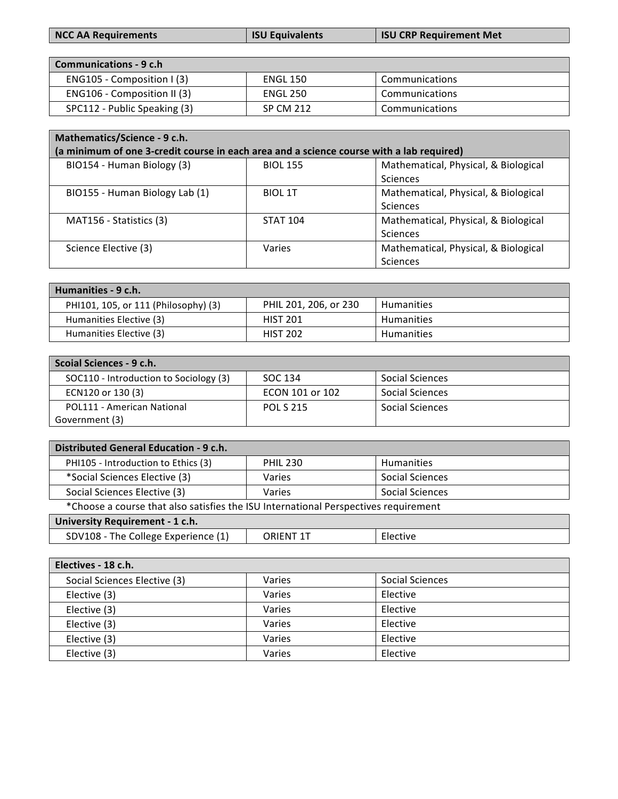| <b>NCC AA Requirements</b> | <b>ISU Equivalents</b> | <b>ISU CRP Requirement Met</b> |
|----------------------------|------------------------|--------------------------------|
|                            |                        |                                |

| Communications - 9 c.h       |                 |                |  |  |
|------------------------------|-----------------|----------------|--|--|
| ENG105 - Composition I (3)   | <b>ENGL 150</b> | Communications |  |  |
| ENG106 - Composition II (3)  | ENGL 250        | Communications |  |  |
| SPC112 - Public Speaking (3) | SP CM 212       | Communications |  |  |

| Mathematics/Science - 9 c.h.                                                             |                 |                                      |  |  |
|------------------------------------------------------------------------------------------|-----------------|--------------------------------------|--|--|
| (a minimum of one 3-credit course in each area and a science course with a lab required) |                 |                                      |  |  |
| BIO154 - Human Biology (3)                                                               | <b>BIOL 155</b> | Mathematical, Physical, & Biological |  |  |
|                                                                                          |                 | <b>Sciences</b>                      |  |  |
| BIO155 - Human Biology Lab (1)                                                           | <b>BIOL 1T</b>  | Mathematical, Physical, & Biological |  |  |
|                                                                                          |                 | <b>Sciences</b>                      |  |  |
| MAT156 - Statistics (3)                                                                  | <b>STAT 104</b> | Mathematical, Physical, & Biological |  |  |
|                                                                                          |                 | <b>Sciences</b>                      |  |  |
| Science Elective (3)                                                                     | Varies          | Mathematical, Physical, & Biological |  |  |
|                                                                                          |                 | <b>Sciences</b>                      |  |  |

| l Humanities - 9 c.h.                |                       |                   |  |  |
|--------------------------------------|-----------------------|-------------------|--|--|
| PHI101, 105, or 111 (Philosophy) (3) | PHIL 201, 206, or 230 | <b>Humanities</b> |  |  |
| Humanities Elective (3)              | <b>HIST 201</b>       | <b>Humanities</b> |  |  |
| Humanities Elective (3)              | <b>HIST 202</b>       | <b>Humanities</b> |  |  |

| Scoial Sciences - 9 c.h.               |                  |                 |
|----------------------------------------|------------------|-----------------|
| SOC110 - Introduction to Sociology (3) | SOC 134          | Social Sciences |
| ECN120 or 130 (3)                      | ECON 101 or 102  | Social Sciences |
| POL111 - American National             | <b>POL S 215</b> | Social Sciences |
| Government (3)                         |                  |                 |

| Distributed General Education - 9 c.h.                                              |                  |                   |  |  |  |
|-------------------------------------------------------------------------------------|------------------|-------------------|--|--|--|
| PHI105 - Introduction to Ethics (3)                                                 | <b>PHIL 230</b>  | <b>Humanities</b> |  |  |  |
| *Social Sciences Elective (3)                                                       | Varies           | Social Sciences   |  |  |  |
| Social Sciences Elective (3)                                                        | Varies           | Social Sciences   |  |  |  |
| *Choose a course that also satisfies the ISU International Perspectives requirement |                  |                   |  |  |  |
| University Requirement - 1 c.h.                                                     |                  |                   |  |  |  |
| SDV108 - The College Experience (1)                                                 | <b>ORIENT 1T</b> | Elective          |  |  |  |

| Electives - 18 c.h.          |        |                 |  |
|------------------------------|--------|-----------------|--|
| Social Sciences Elective (3) | Varies | Social Sciences |  |
| Elective (3)                 | Varies | Elective        |  |
| Elective (3)                 | Varies | Elective        |  |
| Elective (3)                 | Varies | Elective        |  |
| Elective (3)                 | Varies | Elective        |  |
| Elective (3)                 | Varies | Elective        |  |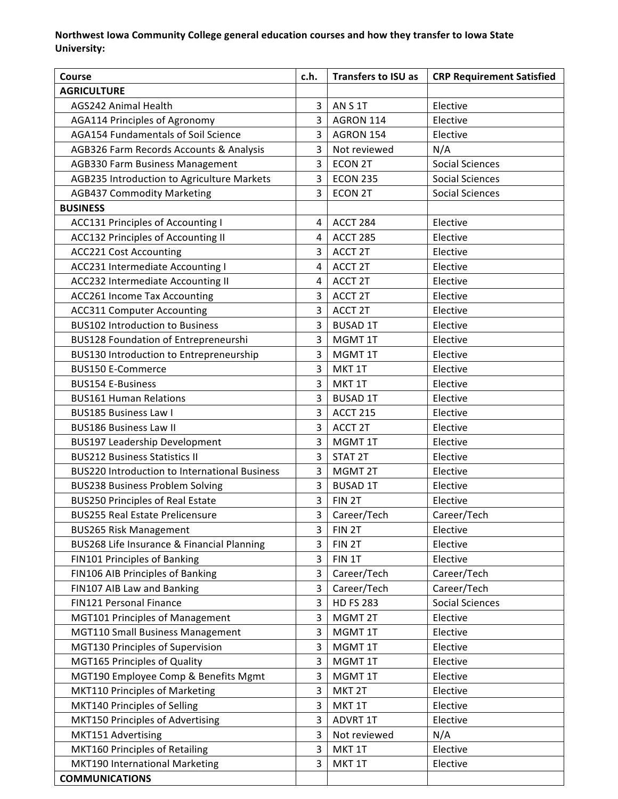## Northwest Iowa Community College general education courses and how they transfer to Iowa State **University:**

| Course                                               | c.h.           | <b>Transfers to ISU as</b> | <b>CRP Requirement Satisfied</b> |
|------------------------------------------------------|----------------|----------------------------|----------------------------------|
| <b>AGRICULTURE</b>                                   |                |                            |                                  |
| <b>AGS242 Animal Health</b>                          | 3              | ANS1T                      | Elective                         |
| <b>AGA114 Principles of Agronomy</b>                 | 3              | AGRON 114                  | Elective                         |
| <b>AGA154 Fundamentals of Soil Science</b>           | 3              | AGRON 154                  | Elective                         |
| AGB326 Farm Records Accounts & Analysis              | 3              | Not reviewed               | N/A                              |
| AGB330 Farm Business Management                      | 3              | <b>ECON 2T</b>             | <b>Social Sciences</b>           |
| AGB235 Introduction to Agriculture Markets           | 3              | <b>ECON 235</b>            | <b>Social Sciences</b>           |
| <b>AGB437 Commodity Marketing</b>                    | 3              | <b>ECON 2T</b>             | <b>Social Sciences</b>           |
| <b>BUSINESS</b>                                      |                |                            |                                  |
| <b>ACC131 Principles of Accounting I</b>             | 4              | ACCT 284                   | Elective                         |
| <b>ACC132 Principles of Accounting II</b>            | 4              | ACCT 285                   | Elective                         |
| <b>ACC221 Cost Accounting</b>                        | $\overline{3}$ | ACCT <sub>2T</sub>         | Elective                         |
| ACC231 Intermediate Accounting I                     | 4              | ACCT <sub>2T</sub>         | Elective                         |
| ACC232 Intermediate Accounting II                    | 4              | ACCT 2T                    | Elective                         |
| <b>ACC261 Income Tax Accounting</b>                  | 3              | ACCT 2T                    | Elective                         |
| <b>ACC311 Computer Accounting</b>                    | 3              | ACCT <sub>2T</sub>         | Elective                         |
| <b>BUS102 Introduction to Business</b>               | 3              | <b>BUSAD 1T</b>            | Elective                         |
| <b>BUS128 Foundation of Entrepreneurshi</b>          | 3              | MGMT 1T                    | Elective                         |
| BUS130 Introduction to Entrepreneurship              | 3              | MGMT 1T                    | Elective                         |
| <b>BUS150 E-Commerce</b>                             | 3              | MKT 1T                     | Elective                         |
| <b>BUS154 E-Business</b>                             | 3              | MKT 1T                     | Elective                         |
| <b>BUS161 Human Relations</b>                        | 3              | <b>BUSAD 1T</b>            | Elective                         |
| <b>BUS185 Business Law I</b>                         | 3              | <b>ACCT 215</b>            | Elective                         |
| <b>BUS186 Business Law II</b>                        | 3              | ACCT 2T                    | Elective                         |
| <b>BUS197 Leadership Development</b>                 | 3              | MGMT 1T                    | Elective                         |
| <b>BUS212 Business Statistics II</b>                 | 3              | STAT <sub>2T</sub>         | Elective                         |
| <b>BUS220 Introduction to International Business</b> | 3              | MGMT 2T                    | Elective                         |
| <b>BUS238 Business Problem Solving</b>               | 3              | <b>BUSAD 1T</b>            | Elective                         |
| <b>BUS250 Principles of Real Estate</b>              | 3              | FIN <sub>2T</sub>          | Elective                         |
| <b>BUS255 Real Estate Prelicensure</b>               | $\overline{3}$ | Career/Tech                | Career/Tech                      |
| <b>BUS265 Risk Management</b>                        | 3              | FIN 2T                     | Elective                         |
| BUS268 Life Insurance & Financial Planning           | 3              | FIN 2T                     | Elective                         |
| FIN101 Principles of Banking                         | 3              | FIN 1T                     | Elective                         |
| FIN106 AIB Principles of Banking                     | 3              | Career/Tech                | Career/Tech                      |
| FIN107 AIB Law and Banking                           | 3              | Career/Tech                | Career/Tech                      |
| FIN121 Personal Finance                              | $\overline{3}$ | <b>HD FS 283</b>           | <b>Social Sciences</b>           |
| MGT101 Principles of Management                      | 3              | MGMT 2T                    | Elective                         |
| MGT110 Small Business Management                     | 3              | MGMT 1T                    | Elective                         |
| MGT130 Principles of Supervision                     | 3              | MGMT 1T                    | Elective                         |
| MGT165 Principles of Quality                         | 3              | MGMT 1T                    | Elective                         |
| MGT190 Employee Comp & Benefits Mgmt                 | 3              | MGMT 1T                    | Elective                         |
| MKT110 Principles of Marketing                       | 3              | MKT <sub>2T</sub>          | Elective                         |
| MKT140 Principles of Selling                         | 3              | MKT 1T                     | Elective                         |
| MKT150 Principles of Advertising                     | 3              | <b>ADVRT 1T</b>            | Elective                         |
| MKT151 Advertising                                   | 3              | Not reviewed               | N/A                              |
| MKT160 Principles of Retailing                       | 3              | MKT 1T                     | Elective                         |
| MKT190 International Marketing                       | 3              | MKT 1T                     | Elective                         |
| <b>COMMUNICATIONS</b>                                |                |                            |                                  |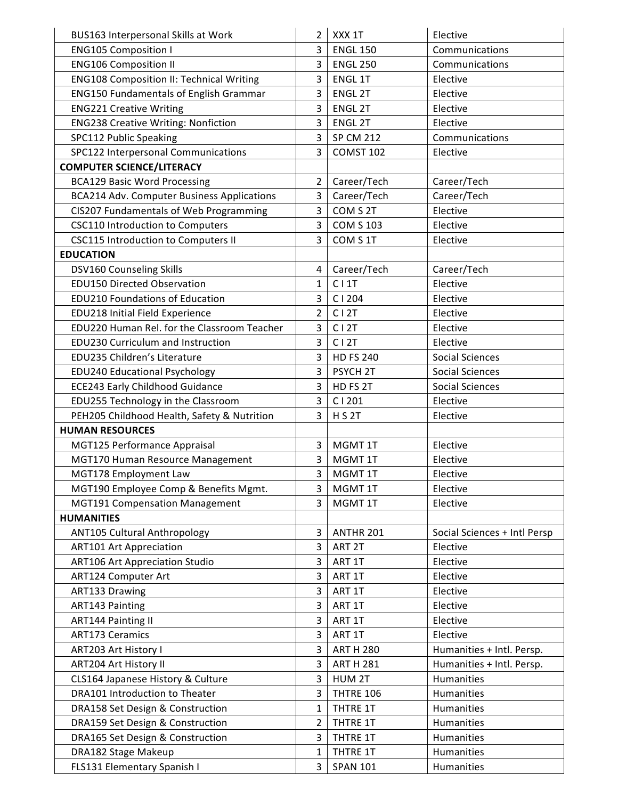| BUS163 Interpersonal Skills at Work             | 2              | XXX 1T              | Elective                     |
|-------------------------------------------------|----------------|---------------------|------------------------------|
| <b>ENG105 Composition I</b>                     | 3              | <b>ENGL 150</b>     | Communications               |
| <b>ENG106 Composition II</b>                    | 3              | <b>ENGL 250</b>     | Communications               |
| <b>ENG108 Composition II: Technical Writing</b> | 3              | <b>ENGL1T</b>       | Elective                     |
| <b>ENG150 Fundamentals of English Grammar</b>   | 3              | <b>ENGL 2T</b>      | Elective                     |
| <b>ENG221 Creative Writing</b>                  | 3              | <b>ENGL 2T</b>      | Elective                     |
| <b>ENG238 Creative Writing: Nonfiction</b>      | 3              | <b>ENGL 2T</b>      | Elective                     |
| SPC112 Public Speaking                          | 3              | <b>SP CM 212</b>    | Communications               |
| SPC122 Interpersonal Communications             | $\overline{3}$ | COMST 102           | Elective                     |
| <b>COMPUTER SCIENCE/LITERACY</b>                |                |                     |                              |
| <b>BCA129 Basic Word Processing</b>             | $\overline{2}$ | Career/Tech         | Career/Tech                  |
| BCA214 Adv. Computer Business Applications      | 3              | Career/Tech         | Career/Tech                  |
| CIS207 Fundamentals of Web Programming          | 3              | COM S 2T            | Elective                     |
| <b>CSC110 Introduction to Computers</b>         | $\overline{3}$ | <b>COM S 103</b>    | Elective                     |
| <b>CSC115 Introduction to Computers II</b>      | 3              | COM S 1T            | Elective                     |
| <b>EDUCATION</b>                                |                |                     |                              |
| <b>DSV160 Counseling Skills</b>                 | 4              | Career/Tech         | Career/Tech                  |
| <b>EDU150 Directed Observation</b>              | $\mathbf{1}$   | C11T                | Elective                     |
| <b>EDU210 Foundations of Education</b>          | 3              | C1204               | Elective                     |
| EDU218 Initial Field Experience                 | $\overline{2}$ | C12T                | Elective                     |
| EDU220 Human Rel. for the Classroom Teacher     | $\overline{3}$ | C12T                | Elective                     |
| EDU230 Curriculum and Instruction               | 3              | C12T                | Elective                     |
| EDU235 Children's Literature                    | $\overline{3}$ | <b>HD FS 240</b>    | <b>Social Sciences</b>       |
| <b>EDU240 Educational Psychology</b>            | 3              | PSYCH <sub>2T</sub> | <b>Social Sciences</b>       |
| <b>ECE243 Early Childhood Guidance</b>          | 3              | HD FS 2T            | <b>Social Sciences</b>       |
| EDU255 Technology in the Classroom              | 3              | C1201               | Elective                     |
| PEH205 Childhood Health, Safety & Nutrition     | 3              | <b>H S 2T</b>       | Elective                     |
| <b>HUMAN RESOURCES</b>                          |                |                     |                              |
| MGT125 Performance Appraisal                    | 3              | MGMT 1T             | Elective                     |
| MGT170 Human Resource Management                | 3              | MGMT 1T             | Elective                     |
| MGT178 Employment Law                           | 3              | MGMT 1T             | Elective                     |
| MGT190 Employee Comp & Benefits Mgmt.           | 3              | MGMT 1T             | Elective                     |
| <b>MGT191 Compensation Management</b>           | 3              | MGMT 1T             | Elective                     |
| <b>HUMANITIES</b>                               |                |                     |                              |
| <b>ANT105 Cultural Anthropology</b>             | $\overline{3}$ | ANTHR 201           | Social Sciences + Intl Persp |
| <b>ART101 Art Appreciation</b>                  | 3              | ART <sub>2T</sub>   | Elective                     |
| <b>ART106 Art Appreciation Studio</b>           | 3              | ART 1T              | Elective                     |
| ART124 Computer Art                             | 3              | ART 1T              | Elective                     |
| ART133 Drawing                                  | 3              | ART 1T              | Elective                     |
| <b>ART143 Painting</b>                          | 3              | ART 1T              | Elective                     |
| <b>ART144 Painting II</b>                       | 3              | ART 1T              | Elective                     |
| <b>ART173 Ceramics</b>                          | 3              | ART 1T              | Elective                     |
| ART203 Art History I                            | 3              | <b>ART H 280</b>    | Humanities + Intl. Persp.    |
| ART204 Art History II                           | 3              | <b>ART H 281</b>    | Humanities + Intl. Persp.    |
| CLS164 Japanese History & Culture               | 3              | HUM <sub>2T</sub>   | Humanities                   |
| DRA101 Introduction to Theater                  | 3              | THTRE 106           | Humanities                   |
| DRA158 Set Design & Construction                | $\mathbf{1}$   | THTRE 1T            | Humanities                   |
| DRA159 Set Design & Construction                | 2              | THTRE 1T            | Humanities                   |
| DRA165 Set Design & Construction                | 3              | THTRE 1T            | Humanities                   |
| DRA182 Stage Makeup                             | $\mathbf{1}$   | THTRE 1T            | Humanities                   |
| FLS131 Elementary Spanish I                     | 3              | <b>SPAN 101</b>     | Humanities                   |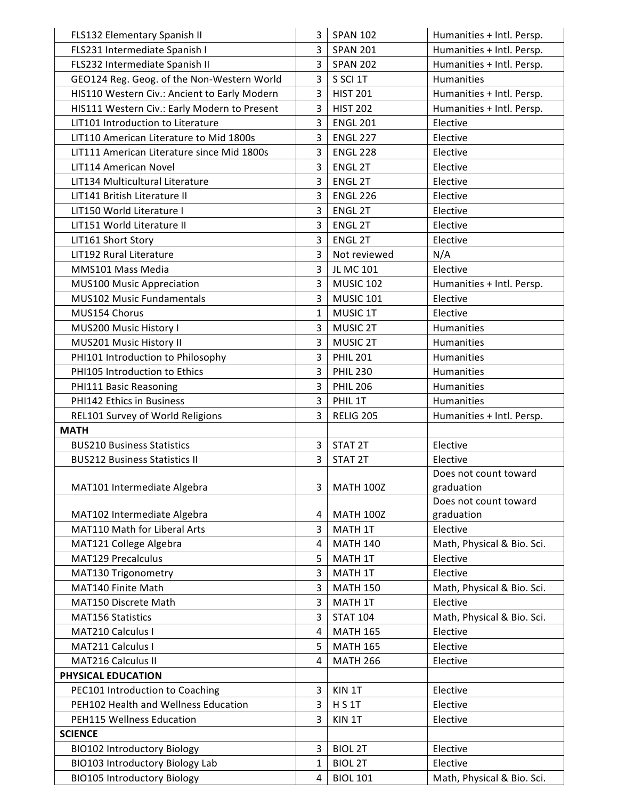| FLS132 Elementary Spanish II                 | 3              | <b>SPAN 102</b>    | Humanities + Intl. Persp.  |
|----------------------------------------------|----------------|--------------------|----------------------------|
| FLS231 Intermediate Spanish I                | 3              | <b>SPAN 201</b>    | Humanities + Intl. Persp.  |
| FLS232 Intermediate Spanish II               | 3              | <b>SPAN 202</b>    | Humanities + Intl. Persp.  |
| GEO124 Reg. Geog. of the Non-Western World   | $\overline{3}$ | S SCI 1T           | Humanities                 |
| HIS110 Western Civ.: Ancient to Early Modern | 3              | <b>HIST 201</b>    | Humanities + Intl. Persp.  |
| HIS111 Western Civ.: Early Modern to Present | $\overline{3}$ | <b>HIST 202</b>    | Humanities + Intl. Persp.  |
| LIT101 Introduction to Literature            | 3              | <b>ENGL 201</b>    | Elective                   |
| LIT110 American Literature to Mid 1800s      | 3              | <b>ENGL 227</b>    | Elective                   |
| LIT111 American Literature since Mid 1800s   | 3              | <b>ENGL 228</b>    | Elective                   |
| LIT114 American Novel                        | 3              | <b>ENGL 2T</b>     | Elective                   |
| LIT134 Multicultural Literature              | $\overline{3}$ | <b>ENGL 2T</b>     | Elective                   |
| LIT141 British Literature II                 | 3              | <b>ENGL 226</b>    | Elective                   |
| LIT150 World Literature I                    | 3              | <b>ENGL 2T</b>     | Elective                   |
| LIT151 World Literature II                   | 3              | <b>ENGL 2T</b>     | Elective                   |
| LIT161 Short Story                           | 3              | <b>ENGL 2T</b>     | Elective                   |
| LIT192 Rural Literature                      | $\overline{3}$ | Not reviewed       | N/A                        |
| MMS101 Mass Media                            | 3              | JL MC 101          | Elective                   |
| <b>MUS100 Music Appreciation</b>             | $\overline{3}$ | <b>MUSIC 102</b>   | Humanities + Intl. Persp.  |
| MUS102 Music Fundamentals                    | $\overline{3}$ | <b>MUSIC 101</b>   | Elective                   |
| MUS154 Chorus                                | 1              | MUSIC 1T           | Elective                   |
| MUS200 Music History I                       | 3              | MUSIC 2T           | Humanities                 |
| MUS201 Music History II                      | 3              | <b>MUSIC 2T</b>    | Humanities                 |
| PHI101 Introduction to Philosophy            | 3              | <b>PHIL 201</b>    | Humanities                 |
| PHI105 Introduction to Ethics                | $\overline{3}$ | <b>PHIL 230</b>    | Humanities                 |
| PHI111 Basic Reasoning                       | 3              | <b>PHIL 206</b>    | Humanities                 |
| PHI142 Ethics in Business                    | 3              | PHIL 1T            | Humanities                 |
| REL101 Survey of World Religions             | 3              | <b>RELIG 205</b>   | Humanities + Intl. Persp.  |
| <b>MATH</b>                                  |                |                    |                            |
| <b>BUS210 Business Statistics</b>            | 3              | STAT <sub>2T</sub> | Elective                   |
| <b>BUS212 Business Statistics II</b>         | 3              | STAT 2T            | Elective                   |
|                                              |                |                    | Does not count toward      |
| MAT101 Intermediate Algebra                  | 3              | <b>MATH 100Z</b>   | graduation                 |
|                                              |                |                    | Does not count toward      |
| MAT102 Intermediate Algebra                  | 4              | <b>MATH 100Z</b>   | graduation                 |
| MAT110 Math for Liberal Arts                 | 3              | MATH 1T            | Elective                   |
| MAT121 College Algebra                       | 4              | <b>MATH 140</b>    | Math, Physical & Bio. Sci. |
| <b>MAT129 Precalculus</b>                    | 5              | MATH 1T            | Elective                   |
| MAT130 Trigonometry                          | 3              | MATH 1T            | Elective                   |
| MAT140 Finite Math                           | 3              | <b>MATH 150</b>    | Math, Physical & Bio. Sci. |
| MAT150 Discrete Math                         | 3              | MATH 1T            | Elective                   |
| <b>MAT156 Statistics</b>                     | 3              | <b>STAT 104</b>    | Math, Physical & Bio. Sci. |
| MAT210 Calculus I                            | $\overline{4}$ | <b>MATH 165</b>    | Elective                   |
| MAT211 Calculus I                            | 5              | <b>MATH 165</b>    | Elective                   |
| MAT216 Calculus II                           | 4              | <b>MATH 266</b>    | Elective                   |
| PHYSICAL EDUCATION                           |                |                    |                            |
| PEC101 Introduction to Coaching              | 3              | KIN 1T             | Elective                   |
| PEH102 Health and Wellness Education         | 3              | <b>H S 1T</b>      | Elective                   |
| PEH115 Wellness Education                    | 3              | KIN 1T             | Elective                   |
| <b>SCIENCE</b>                               |                |                    |                            |
| <b>BIO102 Introductory Biology</b>           | 3              | <b>BIOL 2T</b>     | Elective                   |
| BIO103 Introductory Biology Lab              | $\mathbf{1}$   | <b>BIOL 2T</b>     | Elective                   |
| <b>BIO105 Introductory Biology</b>           | 4              | <b>BIOL 101</b>    | Math, Physical & Bio. Sci. |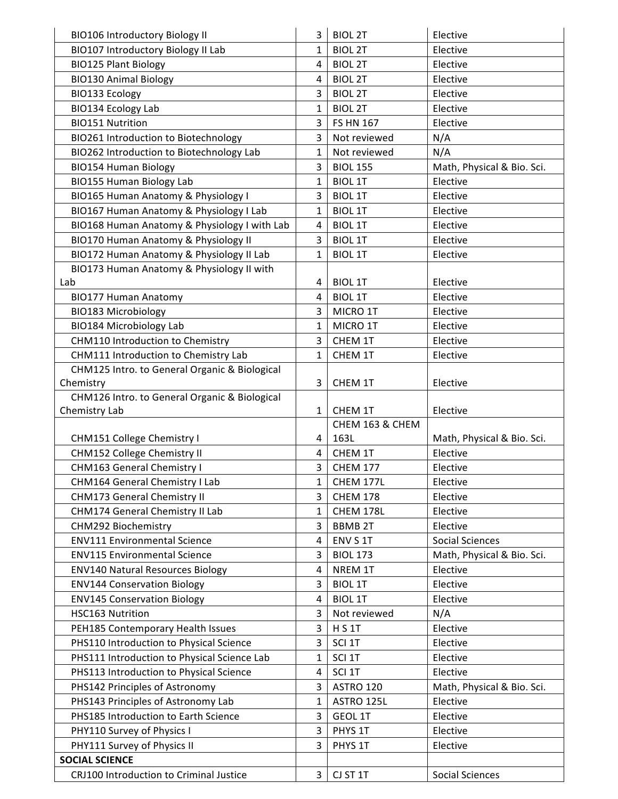| <b>BIO106 Introductory Biology II</b>         | 3              | <b>BIOL 2T</b>          | Elective                   |
|-----------------------------------------------|----------------|-------------------------|----------------------------|
| BIO107 Introductory Biology II Lab            | $\mathbf{1}$   | <b>BIOL 2T</b>          | Elective                   |
| <b>BIO125 Plant Biology</b>                   | 4              | <b>BIOL 2T</b>          | Elective                   |
| <b>BIO130 Animal Biology</b>                  | 4              | <b>BIOL 2T</b>          | Elective                   |
| BIO133 Ecology                                | 3              | <b>BIOL 2T</b>          | Elective                   |
| BIO134 Ecology Lab                            | $\mathbf{1}$   | <b>BIOL 2T</b>          | Elective                   |
| <b>BIO151 Nutrition</b>                       | 3              | <b>FS HN 167</b>        | Elective                   |
| BIO261 Introduction to Biotechnology          | 3              | Not reviewed            | N/A                        |
| BIO262 Introduction to Biotechnology Lab      | $\mathbf{1}$   | Not reviewed            | N/A                        |
| <b>BIO154 Human Biology</b>                   | 3              | <b>BIOL 155</b>         | Math, Physical & Bio. Sci. |
| <b>BIO155 Human Biology Lab</b>               | $\mathbf{1}$   | <b>BIOL 1T</b>          | Elective                   |
| BIO165 Human Anatomy & Physiology I           | 3              | <b>BIOL 1T</b>          | Elective                   |
| BIO167 Human Anatomy & Physiology I Lab       | $\mathbf{1}$   | <b>BIOL 1T</b>          | Elective                   |
| BIO168 Human Anatomy & Physiology I with Lab  | $\overline{4}$ | <b>BIOL 1T</b>          | Elective                   |
| BIO170 Human Anatomy & Physiology II          | 3              | <b>BIOL 1T</b>          | Elective                   |
| BIO172 Human Anatomy & Physiology II Lab      | $\mathbf{1}$   | <b>BIOL 1T</b>          | Elective                   |
| BIO173 Human Anatomy & Physiology II with     |                |                         |                            |
| Lab                                           | 4              | <b>BIOL 1T</b>          | Elective                   |
| <b>BIO177 Human Anatomy</b>                   | 4              | <b>BIOL 1T</b>          | Elective                   |
| <b>BIO183 Microbiology</b>                    | 3              | MICRO 1T                | Elective                   |
| <b>BIO184 Microbiology Lab</b>                | $\mathbf{1}$   | MICRO 1T                | Elective                   |
| CHM110 Introduction to Chemistry              | 3              | CHEM 1T                 | Elective                   |
| CHM111 Introduction to Chemistry Lab          | $\mathbf{1}$   | CHEM 1T                 | Elective                   |
| CHM125 Intro. to General Organic & Biological |                |                         |                            |
| Chemistry                                     | 3              | CHEM 1T                 | Elective                   |
| CHM126 Intro. to General Organic & Biological |                |                         |                            |
| Chemistry Lab                                 | $\mathbf{1}$   | CHEM 1T                 | Elective                   |
| CHM151 College Chemistry I                    | 4              | CHEM 163 & CHEM<br>163L | Math, Physical & Bio. Sci. |
| CHM152 College Chemistry II                   | 4              | CHEM 1T                 | Elective                   |
| CHM163 General Chemistry I                    | 3              | <b>CHEM 177</b>         | Elective                   |
| <b>CHM164 General Chemistry I Lab</b>         | 1              | CHEM 177L               | Elective                   |
| CHM173 General Chemistry II                   | $\overline{3}$ | <b>CHEM 178</b>         | Elective                   |
| CHM174 General Chemistry II Lab               | $\mathbf{1}$   | CHEM 178L               | Elective                   |
| CHM292 Biochemistry                           | 3              | <b>BBMB 2T</b>          | Elective                   |
| <b>ENV111 Environmental Science</b>           | 4              | ENV S 1T                | <b>Social Sciences</b>     |
| <b>ENV115 Environmental Science</b>           | 3              | <b>BIOL 173</b>         | Math, Physical & Bio. Sci. |
| <b>ENV140 Natural Resources Biology</b>       | $\overline{4}$ | NREM 1T                 | Elective                   |
| <b>ENV144 Conservation Biology</b>            | 3              | <b>BIOL 1T</b>          | Elective                   |
| <b>ENV145 Conservation Biology</b>            | 4              | <b>BIOL 1T</b>          | Elective                   |
| HSC163 Nutrition                              | 3              | Not reviewed            | N/A                        |
| PEH185 Contemporary Health Issues             | $\overline{3}$ | <b>H S 1T</b>           | Elective                   |
| PHS110 Introduction to Physical Science       | 3              | SCI <sub>1</sub> T      | Elective                   |
| PHS111 Introduction to Physical Science Lab   | 1              | SCI <sub>1</sub> T      | Elective                   |
| PHS113 Introduction to Physical Science       | 4              | SCI <sub>1</sub> T      | Elective                   |
| PHS142 Principles of Astronomy                | 3              | ASTRO 120               | Math, Physical & Bio. Sci. |
| PHS143 Principles of Astronomy Lab            | $\mathbf{1}$   | ASTRO 125L              | Elective                   |
| PHS185 Introduction to Earth Science          | 3              | GEOL 1T                 | Elective                   |
| PHY110 Survey of Physics I                    | 3              | PHYS 1T                 | Elective                   |
| PHY111 Survey of Physics II                   | 3              | PHYS 1T                 | Elective                   |
| <b>SOCIAL SCIENCE</b>                         |                |                         |                            |
| CRJ100 Introduction to Criminal Justice       | 3              | CJ ST 1T                | <b>Social Sciences</b>     |